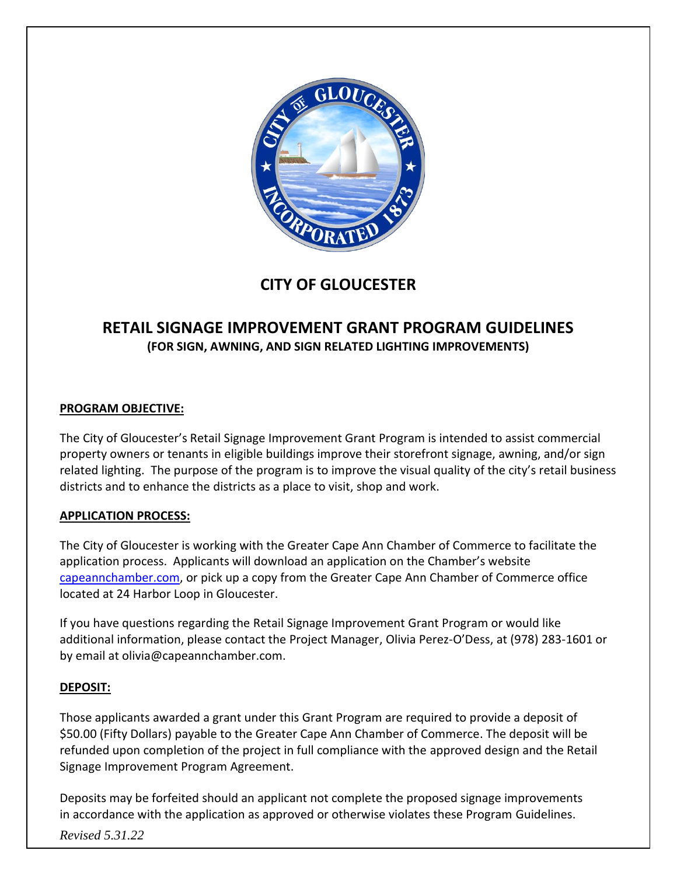

# **CITY OF GLOUCESTER**

## **RETAIL SIGNAGE IMPROVEMENT GRANT PROGRAM GUIDELINES (FOR SIGN, AWNING, AND SIGN RELATED LIGHTING IMPROVEMENTS)**

### **PROGRAM OBJECTIVE:**

The City of Gloucester's Retail Signage Improvement Grant Program is intended to assist commercial property owners or tenants in eligible buildings improve their storefront signage, awning, and/or sign related lighting. The purpose of the program is to improve the visual quality of the city's retail business districts and to enhance the districts as a place to visit, shop and work.

#### **APPLICATION PROCESS:**

The City of Gloucester is working with the Greater Cape Ann Chamber of Commerce to facilitate the application process. Applicants will download an application on the Chamber's website [capeannchamber.com,](https://capeannchamber.com/) or pick up a copy from the Greater Cape Ann Chamber of Commerce office located at 24 Harbor Loop in Gloucester.

If you have questions regarding the Retail Signage Improvement Grant Program or would like additional information, please contact the Project Manager, Olivia Perez-O'Dess, at (978) 283-1601 or by email at olivia@capeannchamber.com.

#### **DEPOSIT:**

Those applicants awarded a grant under this Grant Program are required to provide a deposit of \$50.00 (Fifty Dollars) payable to the Greater Cape Ann Chamber of Commerce. The deposit will be refunded upon completion of the project in full compliance with the approved design and the Retail Signage Improvement Program Agreement.

Deposits may be forfeited should an applicant not complete the proposed signage improvements in accordance with the application as approved or otherwise violates these Program Guidelines.

*Revised 5.31.22*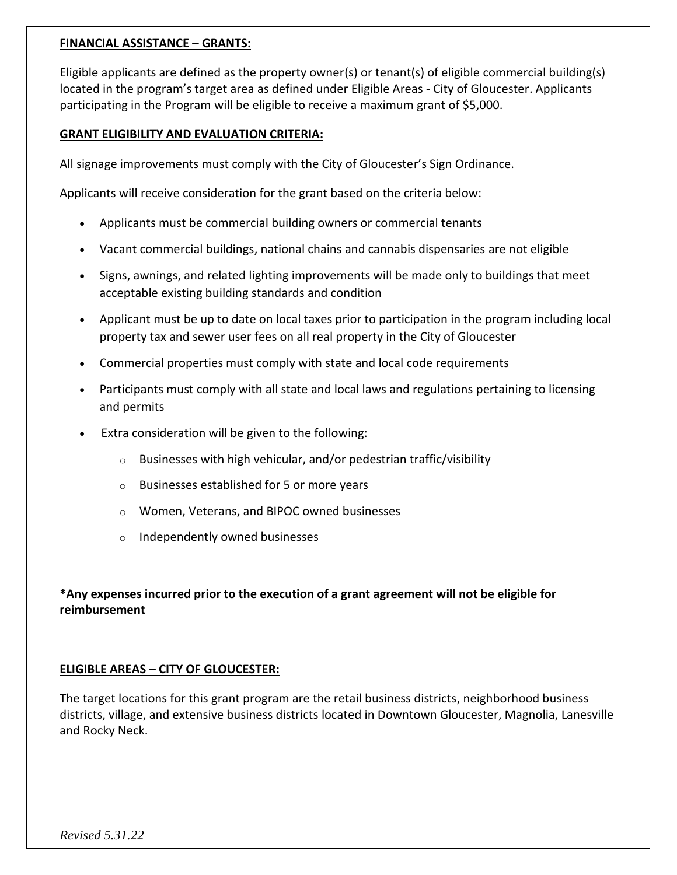#### **FINANCIAL ASSISTANCE – GRANTS:**

Eligible applicants are defined as the property owner(s) or tenant(s) of eligible commercial building(s) located in the program's target area as defined under Eligible Areas - City of Gloucester. Applicants participating in the Program will be eligible to receive a maximum grant of \$5,000.

#### **GRANT ELIGIBILITY AND EVALUATION CRITERIA:**

All signage improvements must comply with the City of Gloucester's Sign Ordinance.

Applicants will receive consideration for the grant based on the criteria below:

- Applicants must be commercial building owners or commercial tenants
- Vacant commercial buildings, national chains and cannabis dispensaries are not eligible
- Signs, awnings, and related lighting improvements will be made only to buildings that meet acceptable existing building standards and condition
- Applicant must be up to date on local taxes prior to participation in the program including local property tax and sewer user fees on all real property in the City of Gloucester
- Commercial properties must comply with state and local code requirements
- Participants must comply with all state and local laws and regulations pertaining to licensing and permits
- Extra consideration will be given to the following:
	- $\circ$  Businesses with high vehicular, and/or pedestrian traffic/visibility
	- o Businesses established for 5 or more years
	- o Women, Veterans, and BIPOC owned businesses
	- o Independently owned businesses

**\*Any expenses incurred prior to the execution of a grant agreement will not be eligible for reimbursement**

#### **ELIGIBLE AREAS – CITY OF GLOUCESTER:**

The target locations for this grant program are the retail business districts, neighborhood business districts, village, and extensive business districts located in Downtown Gloucester, Magnolia, Lanesville and Rocky Neck.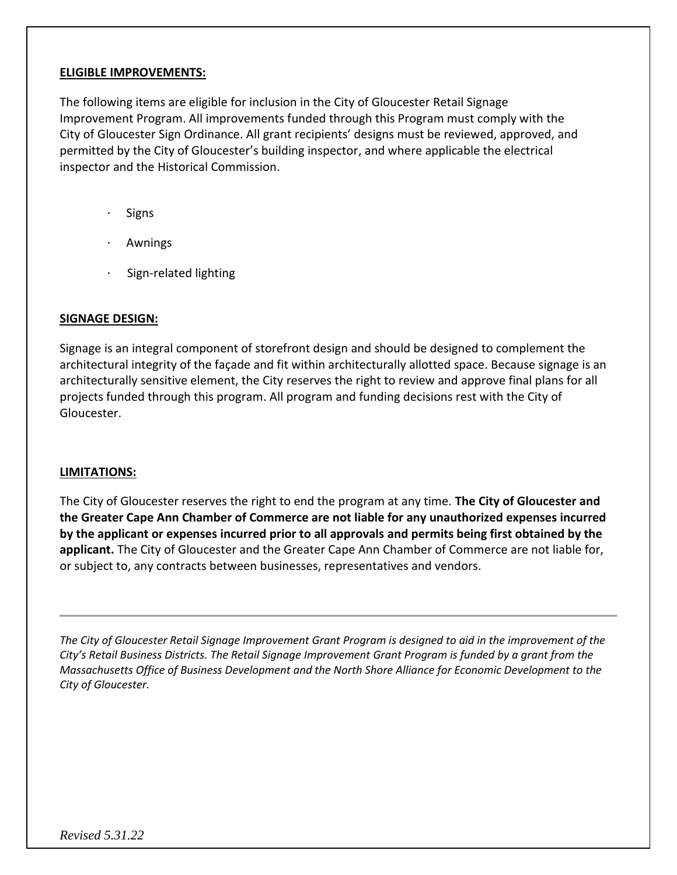#### **ELIGIBLE IMPROVEMENTS:**

The following items are eligible for inclusion in the City of Gloucester Retail Signage Improvement Program. All improvements funded through this Program must comply with the City of Gloucester Sign Ordinance. All grant recipients' designs must be reviewed, approved, and permitted by the City of Gloucester's building inspector, and where applicable the electrical inspector and the Historical Commission.

- **Signs**
- **Awnings**
- · Sign-related lighting

#### **SIGNAGE DESIGN:**

Signage is an integral component of storefront design and should be designed to complement the architectural integrity of the façade and fit within architecturally allotted space. Because signage is an architecturally sensitive element, the City reserves the right to review and approve final plans for all projects funded through this program. All program and funding decisions rest with the City of Gloucester.

#### **LIMITATIONS:**

The City of Gloucester reserves the right to end the program at any time. **The City of Gloucester and the Greater Cape Ann Chamber of Commerce are not liable for any unauthorized expenses incurred by the applicant or expenses incurred prior to all approvals and permits being first obtained by the applicant.** The City of Gloucester and the Greater Cape Ann Chamber of Commerce are not liable for, or subject to, any contracts between businesses, representatives and vendors.

*The City of Gloucester Retail Signage Improvement Grant Program is designed to aid in the improvement of the City's Retail Business Districts. The Retail Signage Improvement Grant Program is funded by a grant from the Massachusetts Office of Business Development and the North Shore Alliance for Economic Development to the City of Gloucester.*